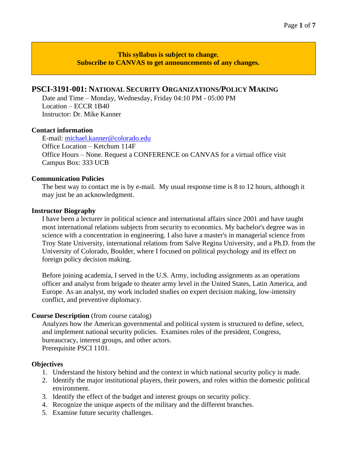**This syllabus is subject to change. Subscribe to CANVAS to get announcements of any changes.**

## **PSCI-3191-001: NATIONAL SECURITY ORGANIZATIONS/POLICY MAKING**

Date and Time – Monday, Wednesday, Friday 04:10 PM - 05:00 PM Location – ECCR 1B40 Instructor: Dr. Mike Kanner

#### **Contact information**

E-mail: [michael.kanner@colorado.edu](mailto:michael.kanner@colorado.edu) Office Location – Ketchum 114F Office Hours – None. Request a CONFERENCE on CANVAS for a virtual office visit Campus Box: 333 UCB

#### **Communication Policies**

The best way to contact me is by e-mail. My usual response time is 8 to 12 hours, although it may just be an acknowledgment.

#### **Instructor Biography**

I have been a lecturer in political science and international affairs since 2001 and have taught most international relations subjects from security to economics. My bachelor's degree was in science with a concentration in engineering. I also have a master's in managerial science from Troy State University, international relations from Salve Regina University, and a Ph.D. from the University of Colorado, Boulder, where I focused on political psychology and its effect on foreign policy decision making.

Before joining academia, I served in the U.S. Army, including assignments as an operations officer and analyst from brigade to theater army level in the United States, Latin America, and Europe. As an analyst, my work included studies on expert decision making, low-intensity conflict, and preventive diplomacy.

### **Course Description** (from course catalog)

Analyzes how the American governmental and political system is structured to define, select, and implement national security policies. Examines roles of the president, Congress, bureaucracy, interest groups, and other actors. Prerequisite PSCI 1101.

### **Objectives**

- 1. Understand the history behind and the context in which national security policy is made.
- 2. Identify the major institutional players, their powers, and roles within the domestic political environment.
- 3. Identify the effect of the budget and interest groups on security policy.
- 4. Recognize the unique aspects of the military and the different branches.
- 5. Examine future security challenges.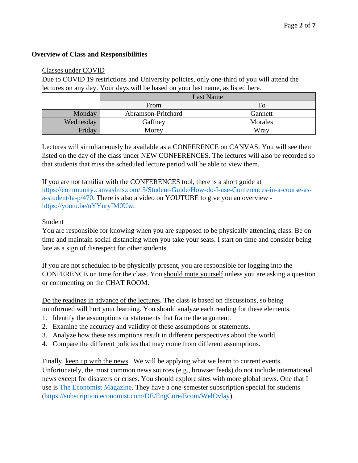## **Overview of Class and Responsibilities**

### Classes under COVID

Due to COVID 19 restrictions and University policies, only one-third of you will attend the lectures on any day. Your days will be based on your last name, as listed here.

|           | Last Name          |         |  |
|-----------|--------------------|---------|--|
|           | From               | To      |  |
| Monday    | Abramson-Pritchard | Gannett |  |
| Wednesday | Gaffney            | Morales |  |
| Friday    | Morey              | Wray    |  |

Lectures will simultaneously be available as a CONFERENCE on CANVAS. You will see them listed on the day of the class under NEW CONFERENCES. The lectures will also be recorded so that students that miss the scheduled lecture period will be able to view them.

If you are not familiar with the CONFERENCES tool, there is a short guide at [https://community.canvaslms.com/t5/Student-Guide/How-do-I-use-Conferences-in-a-course-as](https://community.canvaslms.com/t5/Student-Guide/How-do-I-use-Conferences-in-a-course-as-a-student/ta-p/470)[a-student/ta-p/470.](https://community.canvaslms.com/t5/Student-Guide/How-do-I-use-Conferences-in-a-course-as-a-student/ta-p/470) There is also a video on YOUTUBE to give you an overview [https://youtu.be/uYYnryIM0Uw.](https://youtu.be/uYYnryIM0Uw)

## Student

You are responsible for knowing when you are supposed to be physically attending class. Be on time and maintain social distancing when you take your seats. I start on time and consider being late as a sign of disrespect for other students.

If you are not scheduled to be physically present, you are responsible for logging into the CONFERENCE on time for the class. You should mute yourself unless you are asking a question or commenting on the CHAT ROOM.

Do the readings in advance of the lectures. The class is based on discussions, so being uninformed will hurt your learning. You should analyze each reading for these elements.

- 1. Identify the assumptions or statements that frame the argument.
- 2. Examine the accuracy and validity of these assumptions or statements.
- 3. Analyze how these assumptions result in different perspectives about the world.
- 4. Compare the different policies that may come from different assumptions.

Finally, keep up with the news. We will be applying what we learn to current events. Unfortunately, the most common news sources (e.g., browser feeds) do not include international news except for disasters or crises. You should explore sites with more global news. One that I use is [The Economist Magazine.](http://www.economist.com/) They have a one-semester subscription special for students [\(https://subscription.economist.com/DE/EngCore/Ecom/WelOvlay\)](https://subscription.economist.com/DE/EngCore/Ecom/WelOvlay).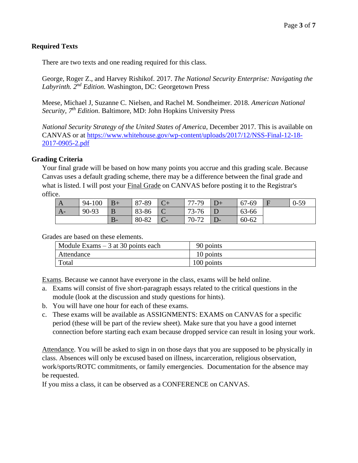# **Required Texts**

There are two texts and one reading required for this class.

George, Roger Z., and Harvey Rishikof. 2017. *The National Security Enterprise: Navigating the Labyrinth. 2 nd Edition.* Washington, DC: Georgetown Press

Meese, Michael J, Suzanne C. Nielsen, and Rachel M. Sondheimer. 2018. *American National Security, 7th Edition*. Baltimore, MD: John Hopkins University Press

*National Security Strategy of the United States of America*, December 2017. This is available on CANVAS or at [https://www.whitehouse.gov/wp-content/uploads/2017/12/NSS-Final-12-18-](https://www.whitehouse.gov/wp-content/uploads/2017/12/NSS-Final-12-18-2017-0905-2.pdf) [2017-0905-2.pdf](https://www.whitehouse.gov/wp-content/uploads/2017/12/NSS-Final-12-18-2017-0905-2.pdf)

## **Grading Criteria**

Your final grade will be based on how many points you accrue and this grading scale. Because Canvas uses a default grading scheme, there may be a difference between the final grade and what is listed. I will post your Final Grade on CANVAS before posting it to the Registrar's office.

| A    | 94-100 | $ B+$      | 87-89 | 77-79 | $\mathbf{D}+$ | 67-69 | $0 - 59$ |
|------|--------|------------|-------|-------|---------------|-------|----------|
| $A-$ | 90-93  | B          | 83-86 | 73-76 |               | 63-66 |          |
|      |        | D<br>$-D=$ | 80-82 | 70-72 |               | 60-62 |          |

Grades are based on these elements.

| Module Exams $-3$ at 30 points each | 90 points  |
|-------------------------------------|------------|
| Attendance                          | 10 points  |
| Total                               | 100 points |

Exams. Because we cannot have everyone in the class, exams will be held online.

- a. Exams will consist of five short-paragraph essays related to the critical questions in the module (look at the discussion and study questions for hints).
- b. You will have one hour for each of these exams.
- c. These exams will be available as ASSIGNMENTS: EXAMS on CANVAS for a specific period (these will be part of the review sheet). Make sure that you have a good internet connection before starting each exam because dropped service can result in losing your work.

Attendance. You will be asked to sign in on those days that you are supposed to be physically in class. Absences will only be excused based on illness, incarceration, religious observation, work/sports/ROTC commitments, or family emergencies. Documentation for the absence may be requested.

If you miss a class, it can be observed as a CONFERENCE on CANVAS.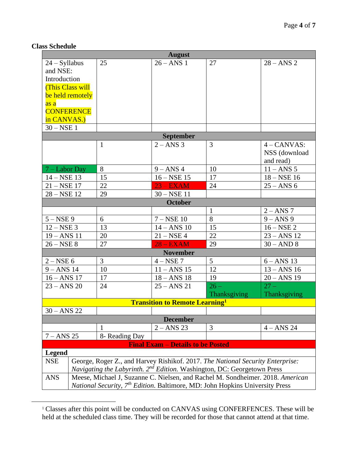# **Class Schedule**

| <b>August</b>                 |                                                                                       |                |                                                   |                 |                               |  |
|-------------------------------|---------------------------------------------------------------------------------------|----------------|---------------------------------------------------|-----------------|-------------------------------|--|
| $24 - Syllabus$               |                                                                                       | 25             | $26 - ANS$ 1                                      | 27              | $28 - ANS$ 2                  |  |
| and NSE:                      |                                                                                       |                |                                                   |                 |                               |  |
| Introduction                  |                                                                                       |                |                                                   |                 |                               |  |
|                               | <b>(This Class will</b>                                                               |                |                                                   |                 |                               |  |
|                               | be held remotely                                                                      |                |                                                   |                 |                               |  |
| <mark>as a</mark>             |                                                                                       |                |                                                   |                 |                               |  |
|                               | <b>CONFERENCE</b>                                                                     |                |                                                   |                 |                               |  |
| in CANVAS.)                   |                                                                                       |                |                                                   |                 |                               |  |
| $30 - NSE$ 1                  |                                                                                       |                |                                                   |                 |                               |  |
|                               |                                                                                       |                | <b>September</b>                                  |                 |                               |  |
|                               |                                                                                       | $\mathbf{1}$   | $2 - ANS$ 3                                       | 3               | $4 - CANVAS$ :                |  |
|                               |                                                                                       |                |                                                   |                 | NSS (download                 |  |
|                               |                                                                                       |                |                                                   |                 | and read)                     |  |
| $7 -$ Labor Day               |                                                                                       | 8              | $9 - ANS$ 4                                       | 10              | $11 - ANS$ 5                  |  |
| $14 - NSE$ 13                 |                                                                                       | 15             | $16 - NSE$ 15                                     | 17              | $18 - NSE$ 16                 |  |
| $21 - NSE$ 17                 |                                                                                       | 22             | $23 - EXAM$                                       | 24              | $25 - ANS$ 6                  |  |
| $28 - NSE$ 12                 |                                                                                       | 29             | $30 - NSE$ 11                                     |                 |                               |  |
|                               |                                                                                       |                | October                                           |                 |                               |  |
|                               |                                                                                       |                | $7 - \text{NSE}$ 10                               | $\mathbf{1}$    | $2 - ANS$ 7                   |  |
| $5 - NSE$ 9                   |                                                                                       | 6              |                                                   | 8               | $9 - ANS$ 9                   |  |
| $12 - NSE$ 3                  |                                                                                       | 13<br>20       | $14 - ANS$ 10<br>$21 - NSE$ 4                     | 15<br>22        | $16 - NSE$ 2<br>$23 - ANS$ 12 |  |
| $19 - ANS$ 11<br>$26 - NSE$ 8 |                                                                                       | 27             | $28 - EXAM$                                       | 29              | $30 - AND 8$                  |  |
|                               |                                                                                       |                | <b>November</b>                                   |                 |                               |  |
| $2 - NSE 6$                   |                                                                                       | 3              | $4 - NSE$ 7                                       | $5\overline{)}$ | $6 - ANS$ 13                  |  |
| $9 - ANS$ 14                  |                                                                                       | 10             | $11 - ANS$ 15                                     | 12              | $13 - ANS$ 16                 |  |
| $16 - ANS$ 17                 |                                                                                       | 17             | $18 - ANS$ 18                                     | 19              | $20 - ANS$ 19                 |  |
| $23 - ANS$ 20                 |                                                                                       | 24             | $25 - ANS$ 21                                     | $26 -$          | $27 -$                        |  |
|                               |                                                                                       |                |                                                   | Thanksgiving    | Thanksgiving                  |  |
|                               |                                                                                       |                | <b>Transition to Remote Learning</b> <sup>1</sup> |                 |                               |  |
| $30 - ANS$ 22                 |                                                                                       |                |                                                   |                 |                               |  |
|                               |                                                                                       |                | <b>December</b>                                   |                 |                               |  |
|                               |                                                                                       |                | $2 - ANS$ 23                                      | 3               | $4 - ANS$ 24                  |  |
| $7 - ANS$ 25                  |                                                                                       | 8- Reading Day |                                                   |                 |                               |  |
|                               |                                                                                       |                | <b>Final Exam - Details to be Posted</b>          |                 |                               |  |
| <b>Legend</b>                 |                                                                                       |                |                                                   |                 |                               |  |
| <b>NSE</b>                    | George, Roger Z., and Harvey Rishikof. 2017. The National Security Enterprise:        |                |                                                   |                 |                               |  |
|                               | Navigating the Labyrinth. 2 <sup>nd</sup> Edition. Washington, DC: Georgetown Press   |                |                                                   |                 |                               |  |
| <b>ANS</b>                    | Meese, Michael J, Suzanne C. Nielsen, and Rachel M. Sondheimer. 2018. American        |                |                                                   |                 |                               |  |
|                               | <i>National Security,</i> $7th Edition. Baltimore, MD: John Hopkins University Press$ |                |                                                   |                 |                               |  |

<sup>&</sup>lt;sup>1</sup> Classes after this point will be conducted on CANVAS using CONFERFENCES. These will be held at the scheduled class time. They will be recorded for those that cannot attend at that time.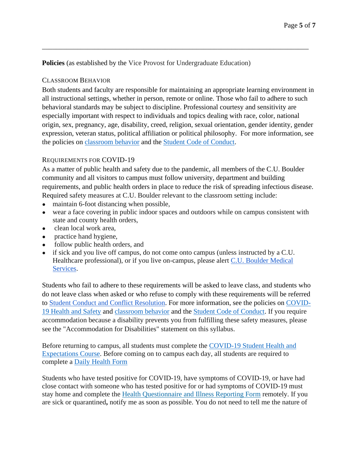**Policies** (as established by the Vice Provost for Undergraduate Education)

## CLASSROOM BEHAVIOR

Both students and faculty are responsible for maintaining an appropriate learning environment in all instructional settings, whether in person, remote or online. Those who fail to adhere to such behavioral standards may be subject to discipline. Professional courtesy and sensitivity are especially important with respect to individuals and topics dealing with race, color, national origin, sex, pregnancy, age, disability, creed, religion, sexual orientation, gender identity, gender expression, veteran status, political affiliation or political philosophy. For more information, see the policies on [classroom behavior](http://www.colorado.edu/policies/student-classroom-and-course-related-behavior) and the [Student Code of Conduct.](https://www.colorado.edu/sccr/sites/default/files/attached-files/2019-2020_student_code_of_conduct_0.pdf)

\_\_\_\_\_\_\_\_\_\_\_\_\_\_\_\_\_\_\_\_\_\_\_\_\_\_\_\_\_\_\_\_\_\_\_\_\_\_\_\_\_\_\_\_\_\_\_\_\_\_\_\_\_\_\_\_\_\_\_\_\_\_\_\_\_\_\_\_\_\_\_\_\_\_\_\_

# REQUIREMENTS FOR COVID-19

As a matter of public health and safety due to the pandemic, all members of the C.U. Boulder community and all visitors to campus must follow university, department and building requirements, and public health orders in place to reduce the risk of spreading infectious disease. Required safety measures at C.U. Boulder relevant to the classroom setting include:

- maintain 6-foot distancing when possible,
- wear a face covering in public indoor spaces and outdoors while on campus consistent with state and county health orders,
- clean local work area,
- practice hand hygiene,
- follow public health orders, and
- if sick and you live off campus, do not come onto campus (unless instructed by a C.U. Healthcare professional), or if you live on-campus, please alert [C.U. Boulder Medical](https://www.colorado.edu/healthcenter/coronavirus-updates/symptoms-and-what-do-if-you-feel-sick)  [Services.](https://www.colorado.edu/healthcenter/coronavirus-updates/symptoms-and-what-do-if-you-feel-sick)

Students who fail to adhere to these requirements will be asked to leave class, and students who do not leave class when asked or who refuse to comply with these requirements will be referred to [Student Conduct and Conflict Resolution.](https://www.colorado.edu/sccr/) For more information, see the policies on [COVID-](https://www.colorado.edu/policies/covid-19-health-and-safety-policy)[19 Health and Safety](https://www.colorado.edu/policies/covid-19-health-and-safety-policy) and [classroom behavior](http://www.colorado.edu/policies/student-classroom-and-course-related-behavior) and the [Student Code of Conduct.](http://www.colorado.edu/osccr/) If you require accommodation because a disability prevents you from fulfilling these safety measures, please see the "Accommodation for Disabilities" statement on this syllabus.

Before returning to campus, all students must complete the [COVID-19 Student Health and](https://www.colorado.edu/protect-our-herd/how#anchor1)  [Expectations Course.](https://www.colorado.edu/protect-our-herd/how#anchor1) Before coming on to campus each day, all students are required to complete a [Daily Health Form](https://www.colorado.edu/protect-our-herd/daily-health-form)

Students who have tested positive for COVID-19, have symptoms of COVID-19, or have had close contact with someone who has tested positive for or had symptoms of COVID-19 must stay home and complete the [Health Questionnaire and Illness Reporting Form](https://www.colorado.edu/protect-our-herd/daily-health-form) remotely. If you are sick or quarantined**,** notify me as soon as possible. You do not need to tell me the nature of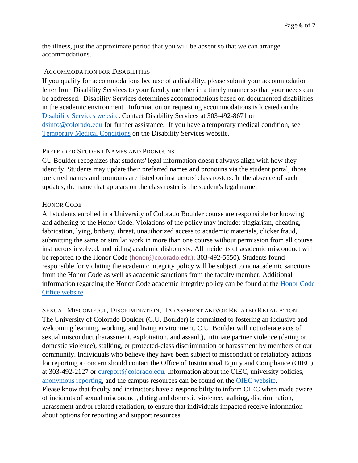the illness, just the approximate period that you will be absent so that we can arrange accommodations.

### ACCOMMODATION FOR DISABILITIES

If you qualify for accommodations because of a disability, please submit your accommodation letter from Disability Services to your faculty member in a timely manner so that your needs can be addressed. Disability Services determines accommodations based on documented disabilities in the academic environment. Information on requesting accommodations is located on the [Disability Services website.](https://www.colorado.edu/disabilityservices/) Contact Disability Services at 303-492-8671 or [dsinfo@colorado.edu](mailto:dsinfo@colorado.edu) for further assistance. If you have a temporary medical condition, see [Temporary Medical Conditions](http://www.colorado.edu/disabilityservices/students/temporary-medical-conditions) on the Disability Services website.

## PREFERRED STUDENT NAMES AND PRONOUNS

CU Boulder recognizes that students' legal information doesn't always align with how they identify. Students may update their preferred names and pronouns via the student portal; those preferred names and pronouns are listed on instructors' class rosters. In the absence of such updates, the name that appears on the class roster is the student's legal name.

## HONOR CODE

All students enrolled in a University of Colorado Boulder course are responsible for knowing and adhering to the Honor Code. Violations of the policy may include: plagiarism, cheating, fabrication, lying, bribery, threat, unauthorized access to academic materials, clicker fraud, submitting the same or similar work in more than one course without permission from all course instructors involved, and aiding academic dishonesty. All incidents of academic misconduct will be reported to the Honor Code [\(honor@colorado.edu\)](mailto:honor@colorado.edu); 303-492-5550). Students found responsible for violating the academic integrity policy will be subject to nonacademic sanctions from the Honor Code as well as academic sanctions from the faculty member. Additional information regarding the Honor Code academic integrity policy can be found at the [Honor Code](https://www.colorado.edu/osccr/honor-code)  [Office website.](https://www.colorado.edu/osccr/honor-code)

SEXUAL MISCONDUCT, DISCRIMINATION, HARASSMENT AND/OR RELATED RETALIATION The University of Colorado Boulder (C.U. Boulder) is committed to fostering an inclusive and welcoming learning, working, and living environment. C.U. Boulder will not tolerate acts of sexual misconduct (harassment, exploitation, and assault), intimate partner violence (dating or domestic violence), stalking, or protected-class discrimination or harassment by members of our community. Individuals who believe they have been subject to misconduct or retaliatory actions for reporting a concern should contact the Office of Institutional Equity and Compliance (OIEC) at 303-492-2127 or [cureport@colorado.edu.](mailto:cureport@colorado.edu) Information about the OIEC, university policies, [anonymous reporting,](https://cuboulder.qualtrics.com/jfe/form/SV_0PnqVK4kkIJIZnf) and the campus resources can be found on the [OIEC website.](http://www.colorado.edu/institutionalequity/) Please know that faculty and instructors have a responsibility to inform OIEC when made aware of incidents of sexual misconduct, dating and domestic violence, stalking, discrimination, harassment and/or related retaliation, to ensure that individuals impacted receive information about options for reporting and support resources.